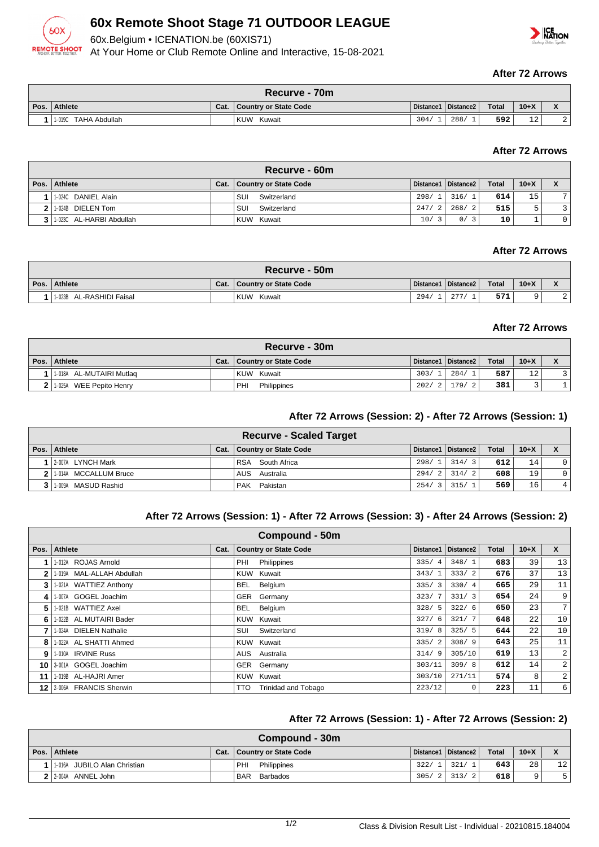

# **60x Remote Shoot Stage 71 OUTDOOR LEAGUE**

60x.Belgium • ICENATION.be (60XIS71)

 $60<sub>2</sub>$ 

**REMOTE SHOOT** 

At Your Home or Club Remote Online and Interactive, 15-08-2021

#### **After 72 Arrows**

| Recurve - 70m           |      |                       |      |                       |              |           |                                                        |  |  |
|-------------------------|------|-----------------------|------|-----------------------|--------------|-----------|--------------------------------------------------------|--|--|
| Pos. Athlete            | Cat. | Country or State Code |      | Distance1   Distance2 | <b>Total</b> | $10+X$    | $\overline{\phantom{a}}$<br>$\boldsymbol{\mathcal{L}}$ |  |  |
| 1-019C<br>TAHA Abdullah |      | <b>KUW</b><br>Kuwait  | 304/ | 288                   | 592          | 1 O<br>⊥∠ | $\sim$<br>▵                                            |  |  |

### **After 72 Arrows**

| Recurve - 60m                  |      |                       |       |                       |              |        |    |  |  |  |  |
|--------------------------------|------|-----------------------|-------|-----------------------|--------------|--------|----|--|--|--|--|
| Pos.   Athlete                 | Cat. | Country or State Code |       | Distance1   Distance2 | <b>Total</b> | $10+X$ |    |  |  |  |  |
| 1-024C DANIEL Alain            |      | Switzerland<br>SUI    |       | 298/1 316/1           | 614          | 15     | 7. |  |  |  |  |
| 1.024B DIELEN Tom              |      | SUI<br>Switzerland    | 247/2 | 268/<br>$\vert$ 2     | 515          | -      |    |  |  |  |  |
| $3$   1.023C AL-HARBI Abdullah |      | KUW Kuwait            | 10/   | 3<br>0/               | 10           |        |    |  |  |  |  |

#### **After 72 Arrows**

| Recurve - 50m            |      |                       |      |                       |              |        |           |  |  |
|--------------------------|------|-----------------------|------|-----------------------|--------------|--------|-----------|--|--|
| Pos. Athlete             | Cat. | Country or State Code |      | Distance1   Distance2 | <b>Total</b> | $10+X$ |           |  |  |
| 1.023B AL-RASHIDI Faisal |      | <b>KUW</b><br>Kuwait  | 294/ | $\cap$                | 571          |        | <u> 4</u> |  |  |

#### **After 72 Arrows**

| Recurve - 30m               |  |                              |       |                       |              |        |  |  |  |  |
|-----------------------------|--|------------------------------|-------|-----------------------|--------------|--------|--|--|--|--|
| Pos. Athlete                |  | Cat.   Country or State Code |       | Distance1   Distance2 | <b>Total</b> | $10+X$ |  |  |  |  |
| 1-018A AL-MUTAIRI Mutlag    |  | KUW Kuwait                   | 303/1 | 284/                  | 587          | 12     |  |  |  |  |
| 2   1-025A WEE Pepito Henry |  | PHI<br>Philippines           | 202/2 | 179/2                 | 381          |        |  |  |  |  |

#### **After 72 Arrows (Session: 2) - After 72 Arrows (Session: 1)**

|                           |      | <b>Recurve - Scaled Target</b> |       |                       |              |          |             |
|---------------------------|------|--------------------------------|-------|-----------------------|--------------|----------|-------------|
| Pos.   Athlete            | Cat. | <b>Country or State Code</b>   |       | Distance1   Distance2 | <b>Total</b> | $10 + X$ |             |
| 1 2-007A LYNCH Mark       |      | South Africa<br><b>RSA</b>     | 298/1 | 314/3                 | 612          | 14       |             |
| 2 1 1 014A MCCALLUM Bruce |      | AUS Australia                  | 294/2 | 314/2                 | 608          | 19       | $\mathbf 0$ |
| 3 1.009A MASUD Rashid     |      | PAK Pakistan                   | 254/3 | 315/1                 | 569          | 16       | 4           |

#### **After 72 Arrows (Session: 1) - After 72 Arrows (Session: 3) - After 24 Arrows (Session: 2)**

|              | Compound - 50m            |      |            |                              |                        |           |       |        |              |  |  |  |
|--------------|---------------------------|------|------------|------------------------------|------------------------|-----------|-------|--------|--------------|--|--|--|
| Pos. $\vert$ | Athlete                   | Cat. |            | <b>Country or State Code</b> | Distance1              | Distance2 | Total | $10+X$ | $\mathsf{x}$ |  |  |  |
|              | 1-012A ROJAS Arnold       |      | PHI        | Philippines                  | 335/<br>$\overline{4}$ | 348/1     | 683   | 39     | 13           |  |  |  |
| 2            | 1-019A MAL-ALLAH Abdullah |      |            | KUW Kuwait                   | 343/1                  | 333/2     | 676   | 37     | 13           |  |  |  |
| 3            | 1-021A WATTIEZ Anthony    |      | BEL.       | Belgium                      | 335/3                  | 330/4     | 665   | 29     | 11           |  |  |  |
| 41           | 1-007A GOGEL Joachim      |      |            | GER Germany                  | 323/7                  | 331/3     | 654   | 24     | 9            |  |  |  |
| 5.           | 1-021B WATTIEZ Axel       |      | <b>BEL</b> | Belgium                      | 328/5                  | 322/6     | 650   | 23     | 7            |  |  |  |
| 6            | 1-022B AL MUTAIRI Bader   |      |            | KUW Kuwait                   | 327/6                  | 321/7     | 648   | 22     | 10           |  |  |  |
|              | 1-024A DIELEN Nathalie    |      | SUI        | Switzerland                  | 319/8                  | 325/5     | 644   | 22     | 10           |  |  |  |
| 8            | 1-022A AL SHATTI Ahmed    |      |            | KUW Kuwait                   | 335/2                  | 308/9     | 643   | 25     | 11           |  |  |  |
| 9            | 1-010A IRVINE Russ        |      | AUS        | Australia                    | 314/9                  | 305/10    | 619   | 13     | 2            |  |  |  |
|              | 10 3:001A GOGEL Joachim   |      |            | GER Germany                  | 303/11                 | 309/8     | 612   | 14     | 2            |  |  |  |
| 11 I         | 1-019B AL-HAJRI Amer      |      |            | KUW Kuwait                   | 303/10                 | 271/11    | 574   | 8      | 2            |  |  |  |
| 12 I         | 2-006A FRANCIS Sherwin    |      | <b>TTO</b> | <b>Trinidad and Tobago</b>   | 223/12                 | $\Omega$  | 223   | 11     | 6            |  |  |  |

#### **After 72 Arrows (Session: 1) - After 72 Arrows (Session: 2)**

| <b>Compound - 30m</b>        |  |                              |       |                       |              |        |                 |  |  |  |
|------------------------------|--|------------------------------|-------|-----------------------|--------------|--------|-----------------|--|--|--|
| Pos. Athlete                 |  | Cat.   Country or State Code |       | Distance1   Distance2 | <b>Total</b> | $10+X$ |                 |  |  |  |
| 1-016A JUBILO Alan Christian |  | ' PHI<br>Philippines         | 322/1 | 321/1                 | 643          | 28     | 12 <sup>1</sup> |  |  |  |
| 2 2 2 004A ANNEL John        |  | BAR Barbados                 | 305/2 | 313/2                 | 618          | Q      |                 |  |  |  |